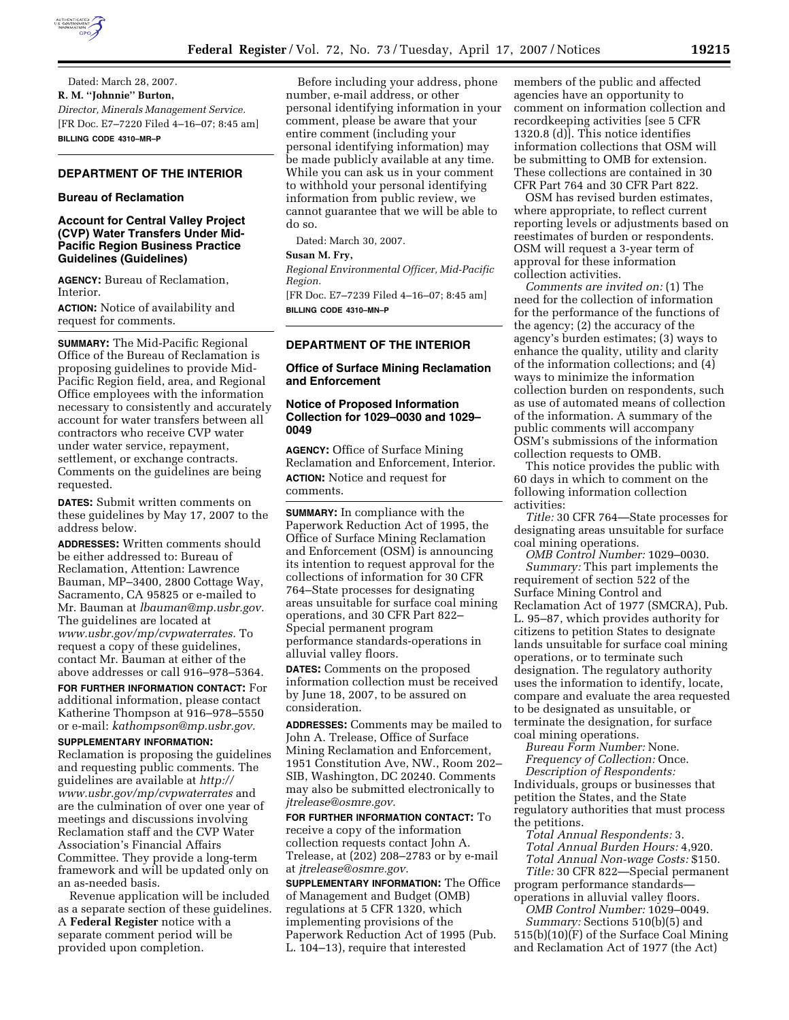

Dated: March 28, 2007. **R. M. ''Johnnie'' Burton,**  *Director, Minerals Management Service.*  [FR Doc. E7–7220 Filed 4–16–07; 8:45 am] **BILLING CODE 4310–MR–P** 

# **DEPARTMENT OF THE INTERIOR**

# **Bureau of Reclamation**

# **Account for Central Valley Project (CVP) Water Transfers Under Mid-Pacific Region Business Practice Guidelines (Guidelines)**

**AGENCY:** Bureau of Reclamation, Interior.

**ACTION:** Notice of availability and request for comments.

**SUMMARY:** The Mid-Pacific Regional Office of the Bureau of Reclamation is proposing guidelines to provide Mid-Pacific Region field, area, and Regional Office employees with the information necessary to consistently and accurately account for water transfers between all contractors who receive CVP water under water service, repayment, settlement, or exchange contracts. Comments on the guidelines are being requested.

**DATES:** Submit written comments on these guidelines by May 17, 2007 to the address below.

**ADDRESSES:** Written comments should be either addressed to: Bureau of Reclamation, Attention: Lawrence Bauman, MP–3400, 2800 Cottage Way, Sacramento, CA 95825 or e-mailed to Mr. Bauman at *lbauman@mp.usbr.gov.*  The guidelines are located at *www.usbr.gov/mp/cvpwaterrates.* To request a copy of these guidelines, contact Mr. Bauman at either of the above addresses or call 916–978–5364.

**FOR FURTHER INFORMATION CONTACT:** For additional information, please contact Katherine Thompson at 916–978–5550 or e-mail: *kathompson@mp.usbr.gov.* 

### **SUPPLEMENTARY INFORMATION:**

Reclamation is proposing the guidelines and requesting public comments. The guidelines are available at *http:// www.usbr.gov/mp/cvpwaterrates* and are the culmination of over one year of meetings and discussions involving Reclamation staff and the CVP Water Association's Financial Affairs Committee. They provide a long-term framework and will be updated only on an as-needed basis.

Revenue application will be included as a separate section of these guidelines. A **Federal Register** notice with a separate comment period will be provided upon completion.

Before including your address, phone number, e-mail address, or other personal identifying information in your comment, please be aware that your entire comment (including your personal identifying information) may be made publicly available at any time. While you can ask us in your comment to withhold your personal identifying information from public review, we cannot guarantee that we will be able to do so.

Dated: March 30, 2007.

# **Susan M. Fry,**

*Regional Environmental Officer, Mid-Pacific Region.* 

[FR Doc. E7–7239 Filed 4–16–07; 8:45 am] **BILLING CODE 4310–MN–P** 

# **DEPARTMENT OF THE INTERIOR**

# **Office of Surface Mining Reclamation and Enforcement**

## **Notice of Proposed Information Collection for 1029–0030 and 1029– 0049**

**AGENCY:** Office of Surface Mining Reclamation and Enforcement, Interior. **ACTION:** Notice and request for comments.

**SUMMARY:** In compliance with the Paperwork Reduction Act of 1995, the Office of Surface Mining Reclamation and Enforcement (OSM) is announcing its intention to request approval for the collections of information for 30 CFR 764–State processes for designating areas unsuitable for surface coal mining operations, and 30 CFR Part 822– Special permanent program performance standards-operations in alluvial valley floors.

**DATES:** Comments on the proposed information collection must be received by June 18, 2007, to be assured on consideration.

**ADDRESSES:** Comments may be mailed to John A. Trelease, Office of Surface Mining Reclamation and Enforcement, 1951 Constitution Ave, NW., Room 202– SIB, Washington, DC 20240. Comments may also be submitted electronically to *jtrelease@osmre.gov.* 

**FOR FURTHER INFORMATION CONTACT:** To receive a copy of the information collection requests contact John A. Trelease, at (202) 208–2783 or by e-mail at *jtrelease@osmre.gov.* 

**SUPPLEMENTARY INFORMATION:** The Office of Management and Budget (OMB) regulations at 5 CFR 1320, which implementing provisions of the Paperwork Reduction Act of 1995 (Pub. L. 104–13), require that interested

members of the public and affected agencies have an opportunity to comment on information collection and recordkeeping activities [see 5 CFR 1320.8 (d)]. This notice identifies information collections that OSM will be submitting to OMB for extension. These collections are contained in 30 CFR Part 764 and 30 CFR Part 822.

OSM has revised burden estimates, where appropriate, to reflect current reporting levels or adjustments based on reestimates of burden or respondents. OSM will request a 3-year term of approval for these information collection activities.

*Comments are invited on:* (1) The need for the collection of information for the performance of the functions of the agency; (2) the accuracy of the agency's burden estimates; (3) ways to enhance the quality, utility and clarity of the information collections; and (4) ways to minimize the information collection burden on respondents, such as use of automated means of collection of the information. A summary of the public comments will accompany OSM's submissions of the information collection requests to OMB.

This notice provides the public with 60 days in which to comment on the following information collection activities:

*Title:* 30 CFR 764—State processes for designating areas unsuitable for surface coal mining operations.

*OMB Control Number:* 1029–0030. *Summary:* This part implements the requirement of section 522 of the Surface Mining Control and Reclamation Act of 1977 (SMCRA), Pub. L. 95–87, which provides authority for citizens to petition States to designate lands unsuitable for surface coal mining operations, or to terminate such designation. The regulatory authority uses the information to identify, locate, compare and evaluate the area requested to be designated as unsuitable, or terminate the designation, for surface coal mining operations.

*Bureau Form Number:* None.

*Frequency of Collection:* Once. *Description of Respondents:*  Individuals, groups or businesses that petition the States, and the State regulatory authorities that must process the petitions.

*Total Annual Respondents:* 3. *Total Annual Burden Hours:* 4,920. *Total Annual Non-wage Costs:* \$150.

*Title:* 30 CFR 822—Special permanent program performance standards operations in alluvial valley floors.

*OMB Control Number:* 1029–0049. *Summary:* Sections 510(b)(5) and 515(b)(10)(F) of the Surface Coal Mining and Reclamation Act of 1977 (the Act)